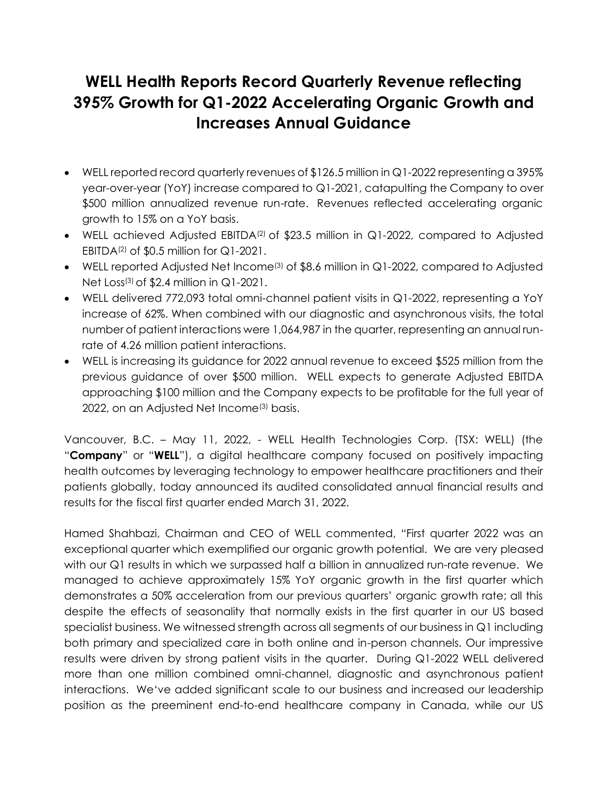# **WELL Health Reports Record Quarterly Revenue reflecting 395% Growth for Q1-2022 Accelerating Organic Growth and Increases Annual Guidance**

- WELL reported record quarterly revenues of \$126.5 million in Q1-2022 representing a 395% year-over-year (YoY) increase compared to Q1-2021, catapulting the Company to over \$500 million annualized revenue run-rate. Revenues reflected accelerating organic growth to 15% on a YoY basis.
- WELL achieved Adjusted EBITDA<sup>(2)</sup> of \$23.5 million in Q1-2022, compared to Adjusted EBITDA<sup>(2)</sup> of \$0.5 million for  $Q1-2021$ .
- WELL reported Adjusted Net Income<sup>(3)</sup> of \$8.6 million in Q1-2022, compared to Adjusted Net Loss(3) of \$2.4 million in Q1-2021.
- WELL delivered 772,093 total omni-channel patient visits in Q1-2022, representing a YoY increase of 62%. When combined with our diagnostic and asynchronous visits, the total number of patient interactions were 1,064,987 in the quarter, representing an annual runrate of 4.26 million patient interactions.
- WELL is increasing its guidance for 2022 annual revenue to exceed \$525 million from the previous guidance of over \$500 million. WELL expects to generate Adjusted EBITDA approaching \$100 million and the Company expects to be profitable for the full year of 2022, on an Adjusted Net Income<sup>(3)</sup> basis.

Vancouver, B.C. – May 11, 2022, - WELL Health Technologies Corp. (TSX: WELL) (the "**Company**" or "**WELL**"), a digital healthcare company focused on positively impacting health outcomes by leveraging technology to empower healthcare practitioners and their patients globally, today announced its audited consolidated annual financial results and results for the fiscal first quarter ended March 31, 2022.

Hamed Shahbazi, Chairman and CEO of WELL commented, "First quarter 2022 was an exceptional quarter which exemplified our organic growth potential. We are very pleased with our Q1 results in which we surpassed half a billion in annualized run-rate revenue. We managed to achieve approximately 15% YoY organic growth in the first quarter which demonstrates a 50% acceleration from our previous quarters' organic growth rate; all this despite the effects of seasonality that normally exists in the first quarter in our US based specialist business. We witnessed strength across all segments of our business in Q1 including both primary and specialized care in both online and in-person channels. Our impressive results were driven by strong patient visits in the quarter. During Q1-2022 WELL delivered more than one million combined omni-channel, diagnostic and asynchronous patient interactions. We've added significant scale to our business and increased our leadership position as the preeminent end-to-end healthcare company in Canada, while our US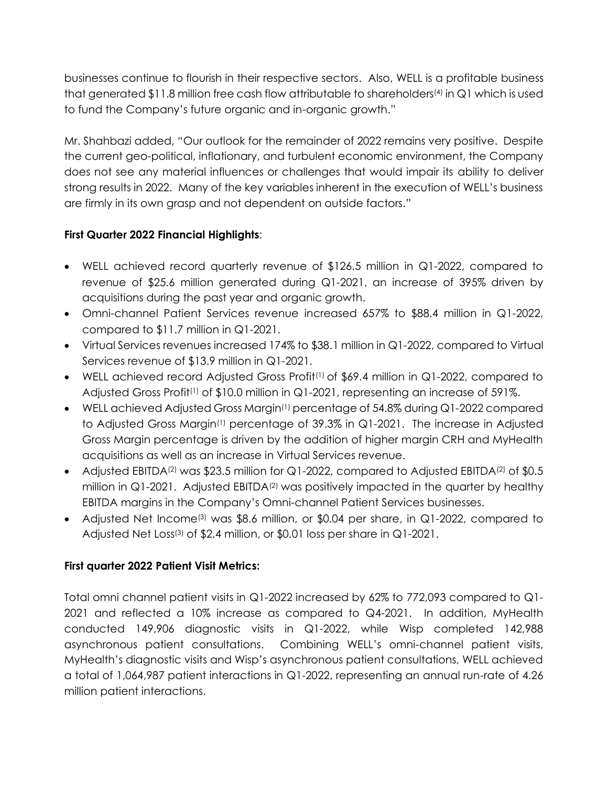businesses continue to flourish in their respective sectors. Also, WELL is a profitable business that generated \$11.8 million free cash flow attributable to shareholders<sup>(4)</sup> in Q1 which is used to fund the Company's future organic and in-organic growth."

Mr. Shahbazi added, "Our outlook for the remainder of 2022 remains very positive. Despite the current geo-political, inflationary, and turbulent economic environment, the Company does not see any material influences or challenges that would impair its ability to deliver strong results in 2022. Many of the key variables inherent in the execution of WELL's business are firmly in its own grasp and not dependent on outside factors."

# **First Quarter 2022 Financial Highlights**:

- WELL achieved record quarterly revenue of \$126.5 million in Q1-2022, compared to revenue of \$25.6 million generated during Q1-2021, an increase of 395% driven by acquisitions during the past year and organic growth.
- Omni-channel Patient Services revenue increased 657% to \$88.4 million in Q1-2022, compared to \$11.7 million in Q1-2021.
- Virtual Services revenues increased 174% to \$38.1 million in Q1-2022, compared to Virtual Services revenue of \$13.9 million in Q1-2021.
- WELL achieved record Adjusted Gross Profit<sup>(1)</sup> of \$69.4 million in Q1-2022, compared to Adjusted Gross Profit<sup>(1)</sup> of \$10.0 million in Q1-2021, representing an increase of 591%.
- WELL achieved Adjusted Gross Margin<sup>(1)</sup> percentage of 54.8% during Q1-2022 compared to Adjusted Gross Margin(1) percentage of 39.3% in Q1-2021. The increase in Adjusted Gross Margin percentage is driven by the addition of higher margin CRH and MyHealth acquisitions as well as an increase in Virtual Services revenue.
- Adjusted EBITDA<sup>(2)</sup> was \$23.5 million for Q1-2022, compared to Adjusted EBITDA<sup>(2)</sup> of \$0.5 million in  $Q1-2021$ . Adjusted EBITDA<sup>(2)</sup> was positively impacted in the quarter by healthy EBITDA margins in the Company's Omni-channel Patient Services businesses.
- Adjusted Net Income<sup>(3)</sup> was \$8.6 million, or \$0.04 per share, in Q1-2022, compared to Adjusted Net Loss<sup>(3)</sup> of \$2.4 million, or \$0.01 loss per share in Q1-2021.

# **First quarter 2022 Patient Visit Metrics:**

Total omni channel patient visits in Q1-2022 increased by 62% to 772,093 compared to Q1- 2021 and reflected a 10% increase as compared to Q4-2021. In addition, MyHealth conducted 149,906 diagnostic visits in Q1-2022, while Wisp completed 142,988 asynchronous patient consultations. Combining WELL's omni-channel patient visits, MyHealth's diagnostic visits and Wisp's asynchronous patient consultations, WELL achieved a total of 1,064,987 patient interactions in Q1-2022, representing an annual run-rate of 4.26 million patient interactions.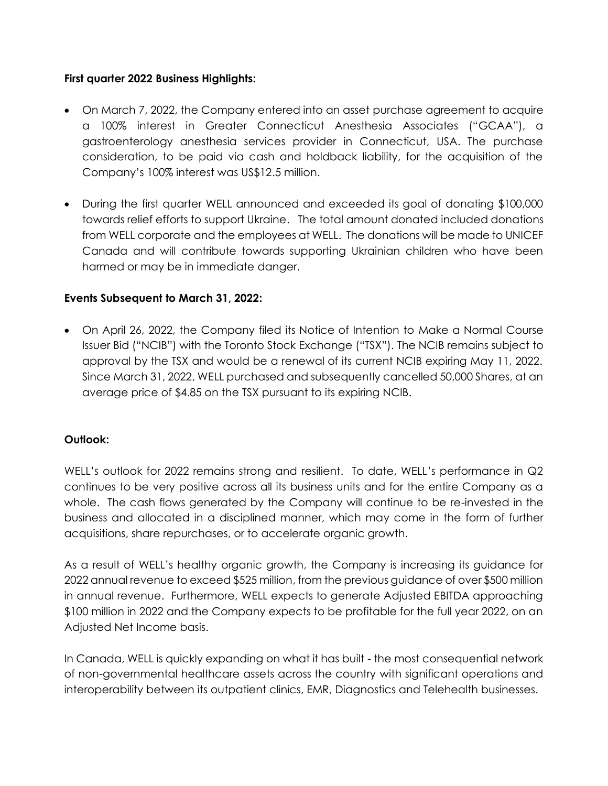#### **First quarter 2022 Business Highlights:**

- On March 7, 2022, the Company entered into an asset purchase agreement to acquire a 100% interest in Greater Connecticut Anesthesia Associates ("GCAA"), a gastroenterology anesthesia services provider in Connecticut, USA. The purchase consideration, to be paid via cash and holdback liability, for the acquisition of the Company's 100% interest was US\$12.5 million.
- During the first quarter WELL announced and exceeded its goal of donating \$100,000 towards relief efforts to support Ukraine. The total amount donated included donations from WELL corporate and the employees at WELL. The donations will be made to UNICEF Canada and will contribute towards supporting Ukrainian children who have been harmed or may be in immediate danger.

# **Events Subsequent to March 31, 2022:**

• On April 26, 2022, the Company filed its Notice of Intention to Make a Normal Course Issuer Bid ("NCIB") with the Toronto Stock Exchange ("TSX"). The NCIB remains subject to approval by the TSX and would be a renewal of its current NCIB expiring May 11, 2022. Since March 31, 2022, WELL purchased and subsequently cancelled 50,000 Shares, at an average price of \$4.85 on the TSX pursuant to its expiring NCIB.

# **Outlook:**

WELL's outlook for 2022 remains strong and resilient. To date, WELL's performance in Q2 continues to be very positive across all its business units and for the entire Company as a whole. The cash flows generated by the Company will continue to be re-invested in the business and allocated in a disciplined manner, which may come in the form of further acquisitions, share repurchases, or to accelerate organic growth.

As a result of WELL's healthy organic growth, the Company is increasing its guidance for 2022 annual revenue to exceed \$525 million, from the previous guidance of over \$500 million in annual revenue. Furthermore, WELL expects to generate Adjusted EBITDA approaching \$100 million in 2022 and the Company expects to be profitable for the full year 2022, on an Adjusted Net Income basis.

In Canada, WELL is quickly expanding on what it has built - the most consequential network of non-governmental healthcare assets across the country with significant operations and interoperability between its outpatient clinics, EMR, Diagnostics and Telehealth businesses.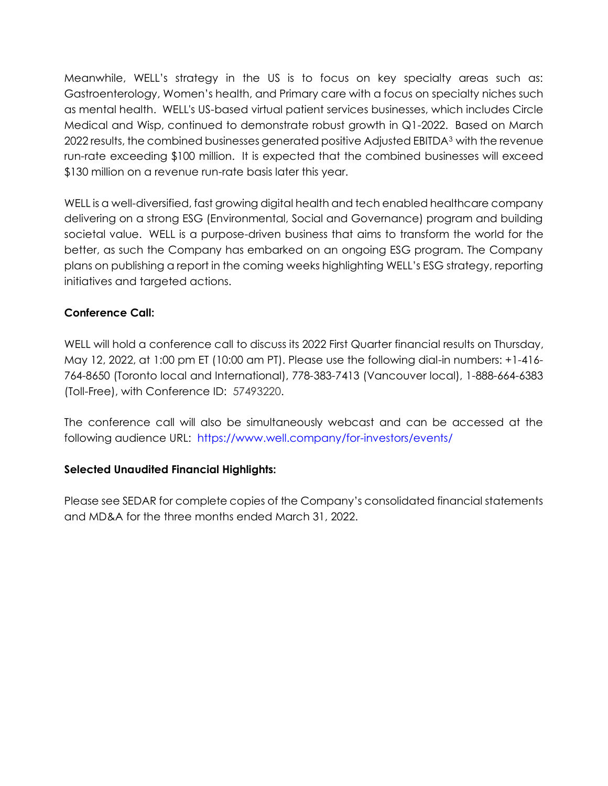Meanwhile, WELL's strategy in the US is to focus on key specialty areas such as: Gastroenterology, Women's health, and Primary care with a focus on specialty niches such as mental health. WELL's US-based virtual patient services businesses, which includes Circle Medical and Wisp, continued to demonstrate robust growth in Q1-2022. Based on March 2022 results, the combined businesses generated positive Adjusted EBITDA<sup>3</sup> with the revenue run-rate exceeding \$100 million. It is expected that the combined businesses will exceed \$130 million on a revenue run-rate basis later this year.

WELL is a well-diversified, fast growing digital health and tech enabled healthcare company delivering on a strong ESG (Environmental, Social and Governance) program and building societal value. WELL is a purpose-driven business that aims to transform the world for the better, as such the Company has embarked on an ongoing ESG program. The Company plans on publishing a report in the coming weeks highlighting WELL's ESG strategy, reporting initiatives and targeted actions.

#### **Conference Call:**

WELL will hold a conference call to discuss its 2022 First Quarter financial results on Thursday, May 12, 2022, at 1:00 pm ET (10:00 am PT). Please use the following dial-in numbers: +1-416- 764-8650 (Toronto local and International), 778-383-7413 (Vancouver local), 1-888-664-6383 (Toll-Free), with Conference ID: 57493220.

The conference call will also be simultaneously webcast and can be accessed at the following audience URL: <https://www.well.company/for-investors/events/>

# **Selected Unaudited Financial Highlights:**

Please see SEDAR for complete copies of the Company's consolidated financial statements and MD&A for the three months ended March 31, 2022.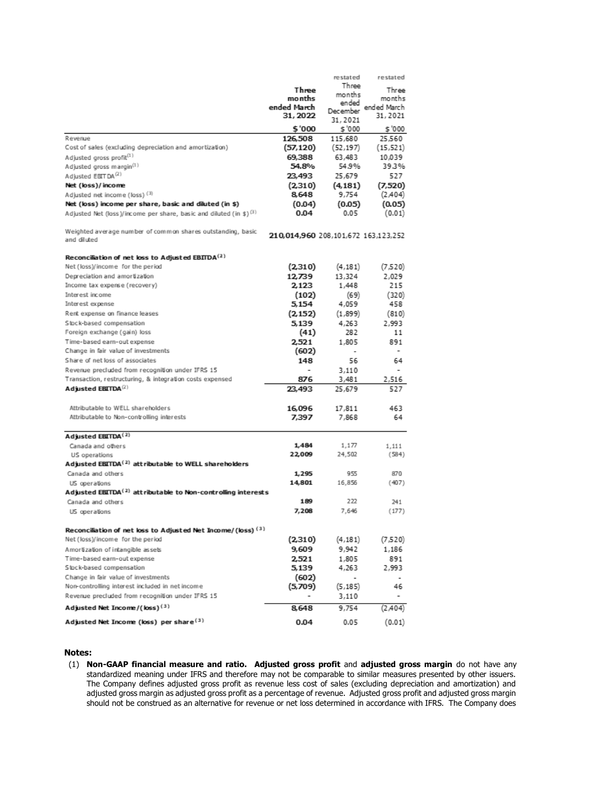|                                                                                           |                                     | restated          | restated    |
|-------------------------------------------------------------------------------------------|-------------------------------------|-------------------|-------------|
|                                                                                           | Three                               | Three             | Three       |
|                                                                                           | months                              | months            | months      |
|                                                                                           | ended March                         | ended<br>December | ended March |
|                                                                                           | 31, 2022                            | 31, 2021          | 31,2021     |
|                                                                                           | \$'000                              | \$'000            | \$'000      |
| Revenue                                                                                   | 126,508                             | 115,680           | 25.560      |
| Cost of sales (excluding depreciation and amortization)                                   | (57, 120)                           | (52, 197)         | (15, 521)   |
| Adjusted gross profit <sup>(1)</sup>                                                      | 69,388                              | 63,483            | 10,039      |
| Adjusted gross margin <sup>(1)</sup>                                                      | 54.8%                               | 54.9%             | 39.3%       |
| Adjusted EBITDA <sup>(2)</sup>                                                            | 23,493                              | 25,679            | 527         |
| Net (loss)/income                                                                         | (2.310)                             | (4.181)           | (7,520)     |
| Adjusted net income (loss) (3)                                                            | 8,648                               | 9,754             | (2,404)     |
| Net (loss) income per share, basic and diluted (in \$)                                    | (0.04)                              | (0.05)            | (0.05)      |
| Adjusted Net (loss)/income per share, basic and diluted (in \$) <sup>(3)</sup>            | 0.04                                | 0.05              | (0.01)      |
| Weighted average number of common shares outstanding, basic                               | 210,014,960 208,101,672 163,123,252 |                   |             |
| and diluted                                                                               |                                     |                   |             |
| Reconciliation of net loss to Adjusted EBITDA <sup>(2)</sup>                              |                                     |                   |             |
| Net (loss)/income for the period                                                          | (2,310)                             | (4, 181)          | (7,520)     |
| Depreciation and amortization                                                             | 12.739                              | 13,324            | 2,029       |
| Income tax expense (recovery)                                                             | 2,123                               | 1,448             | 215         |
| Interest income                                                                           | (102)                               | (69)              | (320)       |
| Interest expense                                                                          | 5,154                               | 4,059             | 458         |
| Rent expense on finance leases                                                            | (2, 152)                            | (1,899)           | (810)       |
| Stock-based compensation                                                                  | 5.139                               | 4,263             | 2,993       |
| Foreign exchange (gain) loss                                                              | (41)                                | 282               | 11          |
| Time-based earn-out expense                                                               | 2.521                               | 1,805             | 891         |
| Change in fair value of investments                                                       | (602)                               | $\overline{a}$    | -           |
| Share of net loss of associates                                                           | 148                                 | 56                | 64          |
| Revenue precluded from recognition under IFRS 15                                          |                                     | 3,110             |             |
| Transaction, restructuring, & integration costs expensed                                  | 876                                 | 3,481             | 2,516       |
| Adjusted $EETDA^{(2)}$                                                                    | 23,493                              | 25,679            | 527         |
| Attributable to WELL shareholders                                                         | 16,096                              | 17,811            | 463         |
| Attributable to Non-controlling interests                                                 | 7,397                               | 7,868             | 64          |
|                                                                                           |                                     |                   |             |
| Adjusted EBITDA <sup>(2)</sup>                                                            |                                     |                   |             |
| Canada and others                                                                         | 1,484                               | 1,177             | 1,111       |
| US operations                                                                             | 22,009                              | 24,502            | (584)       |
| Adjusted EBITDA <sup>(2)</sup> attributable to WELL shareholders                          |                                     |                   |             |
| Canada and others                                                                         | 1,295                               | 955               | 870         |
| US operations<br>Adjusted EBITDA <sup>(2)</sup> attributable to Non-controlling interests | 14,801                              | 16,856            | (407)       |
| Canada and others                                                                         | 189                                 | 222               | 241         |
| US operations                                                                             | 7,208                               | 7,646             | (177)       |
|                                                                                           |                                     |                   |             |
| Reconciliation of net loss to Adjusted Net Income/(loss) <sup>(3)</sup>                   |                                     |                   |             |
| Net (loss)/income for the period                                                          | (2,310)                             | (4, 181)          | (7,520)     |
| Amortization of intangible assets                                                         | 9,609                               | 9,942             | 1,186       |
| Time-based earn-out expense                                                               | 2,521                               | 1,805             | 891         |
| Stock-based compensation                                                                  | 5,139                               | 4,263             | 2,993       |
| Change in fair value of investments                                                       | (602)                               |                   |             |
| Non-controlling interest included in net income                                           | (5,709)                             | (5, 185)          | 46          |
| Revenue precluded from recognition under IFRS 15                                          |                                     | 3,110             | -           |
| Adjusted Net Income/(loss) <sup>(3)</sup>                                                 | 8,648                               | 9,754             | (2,404)     |
| Adjusted Net Income (loss) per share <sup>(3)</sup>                                       | 0.04                                | 0.05              | (0.01)      |

#### **Notes:**

(1) **Non-GAAP financial measure and ratio. Adjusted gross profit** and **adjusted gross margin** do not have any standardized meaning under IFRS and therefore may not be comparable to similar measures presented by other issuers. The Company defines adjusted gross profit as revenue less cost of sales (excluding depreciation and amortization) and adjusted gross margin as adjusted gross profit as a percentage of revenue. Adjusted gross profit and adjusted gross margin should not be construed as an alternative for revenue or net loss determined in accordance with IFRS. The Company does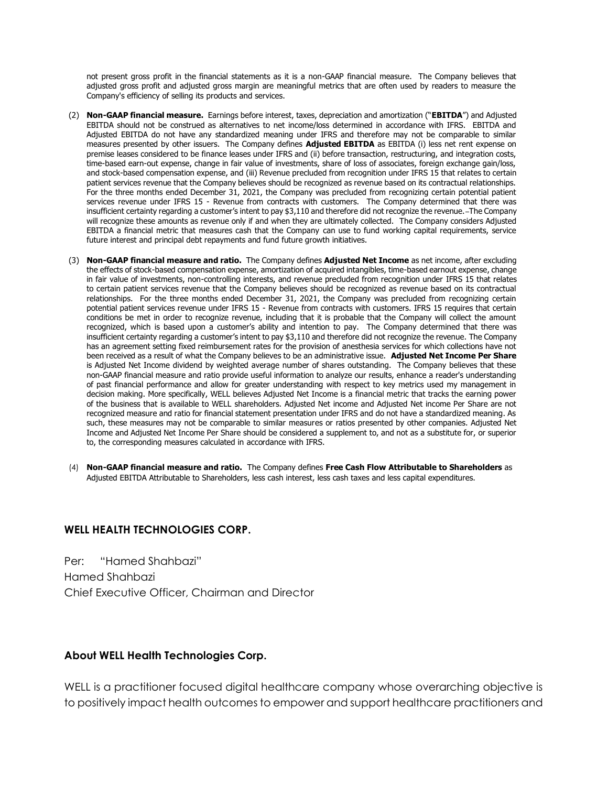not present gross profit in the financial statements as it is a non-GAAP financial measure. The Company believes that adjusted gross profit and adjusted gross margin are meaningful metrics that are often used by readers to measure the Company's efficiency of selling its products and services.

- (2) **Non-GAAP financial measure.** Earnings before interest, taxes, depreciation and amortization ("**EBITDA**") and Adjusted EBITDA should not be construed as alternatives to net income/loss determined in accordance with IFRS. EBITDA and Adjusted EBITDA do not have any standardized meaning under IFRS and therefore may not be comparable to similar measures presented by other issuers. The Company defines **Adjusted EBITDA** as EBITDA (i) less net rent expense on premise leases considered to be finance leases under IFRS and (ii) before transaction, restructuring, and integration costs, time-based earn-out expense, change in fair value of investments, share of loss of associates, foreign exchange gain/loss, and stock-based compensation expense, and (iii) Revenue precluded from recognition under IFRS 15 that relates to certain patient services revenue that the Company believes should be recognized as revenue based on its contractual relationships. For the three months ended December 31, 2021, the Company was precluded from recognizing certain potential patient services revenue under IFRS 15 - Revenue from contracts with customers. The Company determined that there was insufficient certainty regarding a customer's intent to pay \$3,110 and therefore did not recognize the revenue. The Company will recognize these amounts as revenue only if and when they are ultimately collected. The Company considers Adjusted EBITDA a financial metric that measures cash that the Company can use to fund working capital requirements, service future interest and principal debt repayments and fund future growth initiatives.
- (3) **Non-GAAP financial measure and ratio.** The Company defines **Adjusted Net Income** as net income, after excluding the effects of stock-based compensation expense, amortization of acquired intangibles, time-based earnout expense, change in fair value of investments, non-controlling interests, and revenue precluded from recognition under IFRS 15 that relates to certain patient services revenue that the Company believes should be recognized as revenue based on its contractual relationships. For the three months ended December 31, 2021, the Company was precluded from recognizing certain potential patient services revenue under IFRS 15 - Revenue from contracts with customers. IFRS 15 requires that certain conditions be met in order to recognize revenue, including that it is probable that the Company will collect the amount recognized, which is based upon a customer's ability and intention to pay. The Company determined that there was insufficient certainty regarding a customer's intent to pay \$3,110 and therefore did not recognize the revenue. The Company has an agreement setting fixed reimbursement rates for the provision of anesthesia services for which collections have not been received as a result of what the Company believes to be an administrative issue. **Adjusted Net Income Per Share** is Adjusted Net Income dividend by weighted average number of shares outstanding. The Company believes that these non-GAAP financial measure and ratio provide useful information to analyze our results, enhance a reader's understanding of past financial performance and allow for greater understanding with respect to key metrics used my management in decision making. More specifically, WELL believes Adjusted Net Income is a financial metric that tracks the earning power of the business that is available to WELL shareholders. Adjusted Net income and Adjusted Net income Per Share are not recognized measure and ratio for financial statement presentation under IFRS and do not have a standardized meaning. As such, these measures may not be comparable to similar measures or ratios presented by other companies. Adjusted Net Income and Adjusted Net Income Per Share should be considered a supplement to, and not as a substitute for, or superior to, the corresponding measures calculated in accordance with IFRS.
- (4) **Non-GAAP financial measure and ratio.** The Company defines **Free Cash Flow Attributable to Shareholders** as Adjusted EBITDA Attributable to Shareholders, less cash interest, less cash taxes and less capital expenditures.

#### **WELL HEALTH TECHNOLOGIES CORP.**

Per: "Hamed Shahbazi" Hamed Shahbazi Chief Executive Officer, Chairman and Director

#### **About WELL Health Technologies Corp.**

WELL is a practitioner focused digital healthcare company whose overarching objective is to positively impact health outcomes to empower and support healthcare practitioners and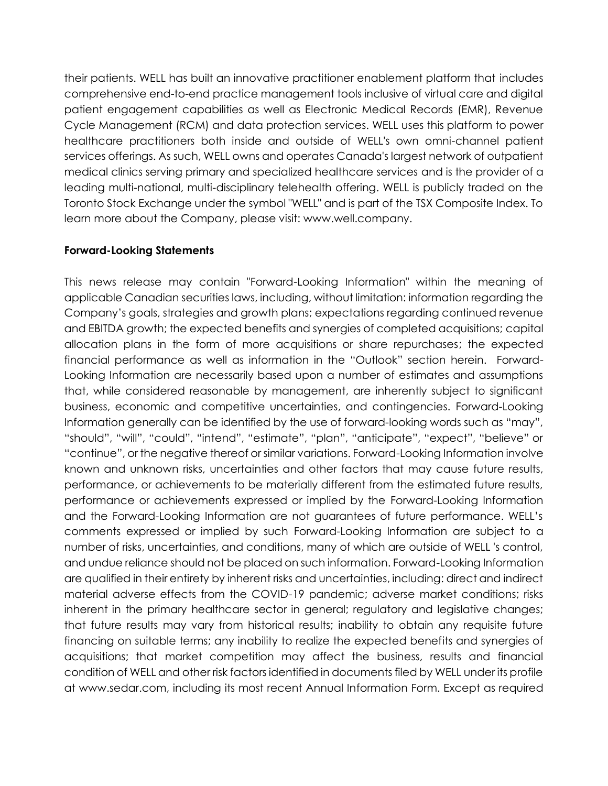their patients. WELL has built an innovative practitioner enablement platform that includes comprehensive end-to-end practice management tools inclusive of virtual care and digital patient engagement capabilities as well as Electronic Medical Records (EMR), Revenue Cycle Management (RCM) and data protection services. WELL uses this platform to power healthcare practitioners both inside and outside of WELL's own omni-channel patient services offerings. As such, WELL owns and operates Canada's largest network of outpatient medical clinics serving primary and specialized healthcare services and is the provider of a leading multi-national, multi-disciplinary telehealth offering. WELL is publicly traded on the Toronto Stock Exchange under the symbol "WELL" and is part of the TSX Composite Index. To learn more about the Company, please visit: www.well.company.

#### **Forward-Looking Statements**

This news release may contain "Forward-Looking Information" within the meaning of applicable Canadian securities laws, including, without limitation: information regarding the Company's goals, strategies and growth plans; expectations regarding continued revenue and EBITDA growth; the expected benefits and synergies of completed acquisitions; capital allocation plans in the form of more acquisitions or share repurchases; the expected financial performance as well as information in the "Outlook" section herein. Forward-Looking Information are necessarily based upon a number of estimates and assumptions that, while considered reasonable by management, are inherently subject to significant business, economic and competitive uncertainties, and contingencies. Forward-Looking Information generally can be identified by the use of forward-looking words such as "may", "should", "will", "could", "intend", "estimate", "plan", "anticipate", "expect", "believe" or "continue", or the negative thereof or similar variations. Forward-Looking Information involve known and unknown risks, uncertainties and other factors that may cause future results, performance, or achievements to be materially different from the estimated future results, performance or achievements expressed or implied by the Forward-Looking Information and the Forward-Looking Information are not guarantees of future performance. WELL's comments expressed or implied by such Forward-Looking Information are subject to a number of risks, uncertainties, and conditions, many of which are outside of WELL 's control, and undue reliance should not be placed on such information. Forward-Looking Information are qualified in their entirety by inherent risks and uncertainties, including: direct and indirect material adverse effects from the COVID-19 pandemic; adverse market conditions; risks inherent in the primary healthcare sector in general; regulatory and legislative changes; that future results may vary from historical results; inability to obtain any requisite future financing on suitable terms; any inability to realize the expected benefits and synergies of acquisitions; that market competition may affect the business, results and financial condition of WELL and other risk factors identified in documents filed by WELL under its profile at www.sedar.com, including its most recent Annual Information Form. Except as required